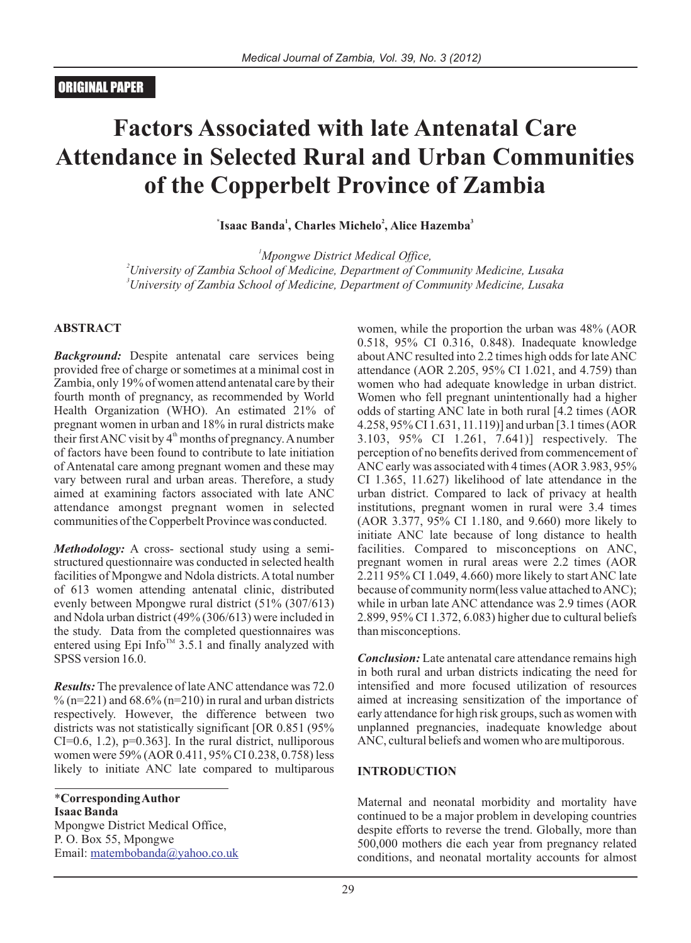# **Factors Associated with late Antenatal Care Attendance in Selected Rural and Urban Communities of the Copperbelt Province of Zambia**

**\* 1 2 3 Isaac Banda , Charles Michelo , Alice Hazemba**

*<sup>1</sup>Mpongwe District Medical Office, <sup>2</sup>University of Zambia School of Medicine, Department of Community Medicine, Lusaka <sup>3</sup>University of Zambia School of Medicine, Department of Community Medicine, Lusaka*

#### **ABSTRACT**

*Background:* Despite antenatal care services being provided free of charge or sometimes at a minimal cost in Zambia, only 19% of women attend antenatal care by their fourth month of pregnancy, as recommended by World Health Organization (WHO). An estimated 21% of pregnant women in urban and 18% in rural districts make their first ANC visit by  $4<sup>th</sup>$  months of pregnancy. A number of factors have been found to contribute to late initiation of Antenatal care among pregnant women and these may vary between rural and urban areas. Therefore, a study aimed at examining factors associated with late ANC attendance amongst pregnant women in selected communities of the Copperbelt Province was conducted.

*Methodology:* A cross- sectional study using a semistructured questionnaire was conducted in selected health facilities of Mpongwe and Ndola districts. Atotal number of 613 women attending antenatal clinic, distributed evenly between Mpongwe rural district (51% (307/613) and Ndola urban district (49% (306/613) were included in the study. Data from the completed questionnaires was entered using Epi Info<sup> $TM$ </sup> 3.5.1 and finally analyzed with SPSS version  $16.0$ .

*Results:* The prevalence of late ANC attendance was 72.0  $\%$  (n=221) and 68.6% (n=210) in rural and urban districts respectively. However, the difference between two districts was not statistically significant [OR 0.851 (95%  $CI=0.6, 1.2$ ,  $p=0.363$ . In the rural district, nulliporous women were 59% (AOR 0.411, 95% CI 0.238, 0.758) less likely to initiate ANC late compared to multiparous

\***Corresponding Author Isaac Banda** Mpongwe District Medical Office, P. O. Box 55, Mpongwe Email: matembobanda@yahoo.co.uk women, while the proportion the urban was 48% (AOR 0.518, 95% CI 0.316, 0.848). Inadequate knowledge about ANC resulted into 2.2 times high odds for late ANC attendance (AOR 2.205, 95% CI 1.021, and 4.759) than women who had adequate knowledge in urban district. Women who fell pregnant unintentionally had a higher odds of starting ANC late in both rural [4.2 times (AOR 4.258, 95% CI 1.631, 11.119)] and urban [3.1 times (AOR 3.103, 95% CI 1.261, 7.641)] respectively. The perception of no benefits derived from commencement of ANC early was associated with 4 times (AOR 3.983, 95% CI 1.365, 11.627) likelihood of late attendance in the urban district. Compared to lack of privacy at health institutions, pregnant women in rural were 3.4 times (AOR 3.377, 95% CI 1.180, and 9.660) more likely to initiate ANC late because of long distance to health facilities. Compared to misconceptions on ANC, pregnant women in rural areas were 2.2 times (AOR 2.211 95% CI 1.049, 4.660) more likely to start ANC late because of community norm(less value attached to ANC); while in urban late ANC attendance was 2.9 times (AOR 2.899, 95% CI 1.372, 6.083) higher due to cultural beliefs than misconceptions.

*Conclusion:* Late antenatal care attendance remains high in both rural and urban districts indicating the need for intensified and more focused utilization of resources aimed at increasing sensitization of the importance of early attendance for high risk groups, such as women with unplanned pregnancies, inadequate knowledge about ANC, cultural beliefs and women who are multiporous.

#### **INTRODUCTION**

Maternal and neonatal morbidity and mortality have continued to be a major problem in developing countries despite efforts to reverse the trend. Globally, more than 500,000 mothers die each year from pregnancy related conditions, and neonatal mortality accounts for almost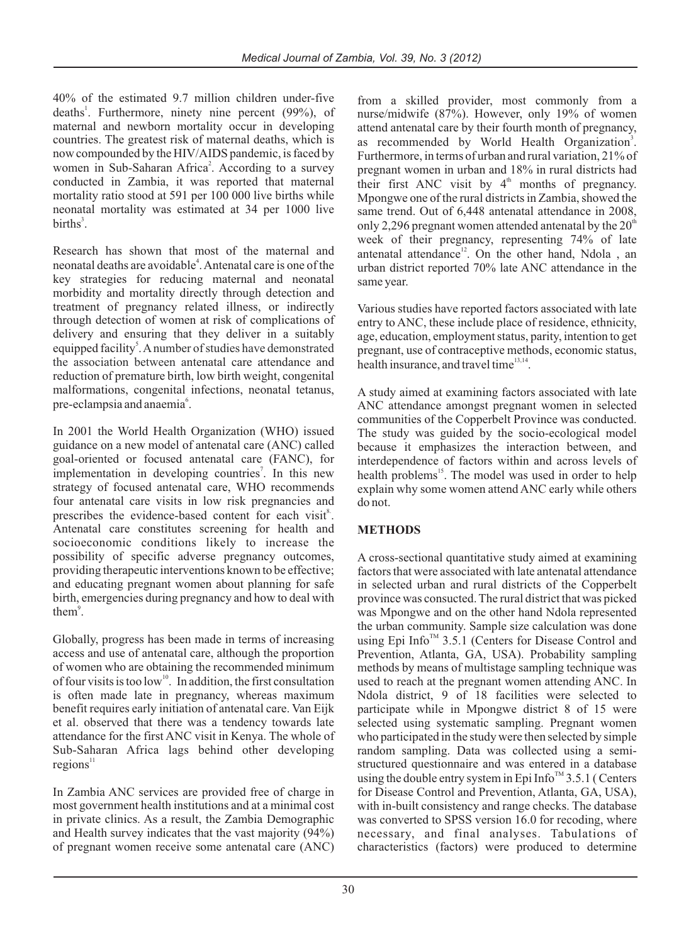40% of the estimated 9.7 million children under-five deaths<sup>1</sup>. Furthermore, ninety nine percent (99%), of maternal and newborn mortality occur in developing countries. The greatest risk of maternal deaths, which is now compounded by the HIV/AIDS pandemic, is faced by women in Sub-Saharan Africa<sup>2</sup>. According to a survey conducted in Zambia, it was reported that maternal mortality ratio stood at 591 per 100 000 live births while neonatal mortality was estimated at 34 per 1000 live births<sup>3</sup>.

Research has shown that most of the maternal and neonatal deaths are avoidable<sup>4</sup>. Antenatal care is one of the key strategies for reducing maternal and neonatal morbidity and mortality directly through detection and treatment of pregnancy related illness, or indirectly through detection of women at risk of complications of delivery and ensuring that they deliver in a suitably equipped facility<sup>5</sup>. A number of studies have demonstrated the association between antenatal care attendance and reduction of premature birth, low birth weight, congenital malformations, congenital infections, neonatal tetanus, pre-eclampsia and anaemia<sup>6</sup>.

In 2001 the World Health Organization (WHO) issued guidance on a new model of antenatal care (ANC) called goal-oriented or focused antenatal care (FANC), for implementation in developing countries<sup>7</sup>. In this new strategy of focused antenatal care, WHO recommends four antenatal care visits in low risk pregnancies and prescribes the evidence-based content for each visit<sup>8</sup>. Antenatal care constitutes screening for health and socioeconomic conditions likely to increase the possibility of specific adverse pregnancy outcomes, providing therapeutic interventions known to be effective; and educating pregnant women about planning for safe birth, emergencies during pregnancy and how to deal with them<sup>9</sup>.

Globally, progress has been made in terms of increasing access and use of antenatal care, although the proportion of women who are obtaining the recommended minimum of four visits is too low<sup>10</sup>. In addition, the first consultation is often made late in pregnancy, whereas maximum benefit requires early initiation of antenatal care. Van Eijk et al. observed that there was a tendency towards late attendance for the first ANC visit in Kenya. The whole of Sub-Saharan Africa lags behind other developing regions<sup>11</sup>

In Zambia ANC services are provided free of charge in most government health institutions and at a minimal cost in private clinics. As a result, the Zambia Demographic and Health survey indicates that the vast majority (94%) of pregnant women receive some antenatal care (ANC) from a skilled provider, most commonly from a nurse/midwife (87%). However, only 19% of women attend antenatal care by their fourth month of pregnancy, as recommended by World Health Organization<sup>3</sup>. Furthermore, in terms of urban and rural variation, 21% of pregnant women in urban and 18% in rural districts had their first ANC visit by  $4<sup>th</sup>$  months of pregnancy. Mpongwe one of the rural districts in Zambia, showed the same trend. Out of 6,448 antenatal attendance in 2008, only 2,296 pregnant women attended antenatal by the  $20<sup>th</sup>$ week of their pregnancy, representing 74% of late antenatal attendance<sup>12</sup>. On the other hand, Ndola , an urban district reported 70% late ANC attendance in the same year.

Various studies have reported factors associated with late entry to ANC, these include place of residence, ethnicity, age, education, employment status, parity, intention to get pregnant, use of contraceptive methods, economic status, health insurance, and travel time<sup>13,14</sup>.

A study aimed at examining factors associated with late ANC attendance amongst pregnant women in selected communities of the Copperbelt Province was conducted. The study was guided by the socio-ecological model because it emphasizes the interaction between, and interdependence of factors within and across levels of health problems<sup>15</sup>. The model was used in order to help explain why some women attend ANC early while others do not.

## **METHODS**

A cross-sectional quantitative study aimed at examining factors that were associated with late antenatal attendance in selected urban and rural districts of the Copperbelt province was consucted. The rural district that was picked was Mpongwe and on the other hand Ndola represented the urban community. Sample size calculation was done using Epi Info<sup> $TM$ </sup> 3.5.1 (Centers for Disease Control and Prevention, Atlanta, GA, USA). Probability sampling methods by means of multistage sampling technique was used to reach at the pregnant women attending ANC. In Ndola district, 9 of 18 facilities were selected to participate while in Mpongwe district 8 of 15 were selected using systematic sampling. Pregnant women who participated in the study were then selected by simple random sampling. Data was collected using a semistructured questionnaire and was entered in a database using the double entry system in Epi Info  $\mathbb{R}^3$  3.5.1 ( Centers for Disease Control and Prevention, Atlanta, GA, USA), with in-built consistency and range checks. The database was converted to SPSS version 16.0 for recoding, where necessary, and final analyses. Tabulations of characteristics (factors) were produced to determine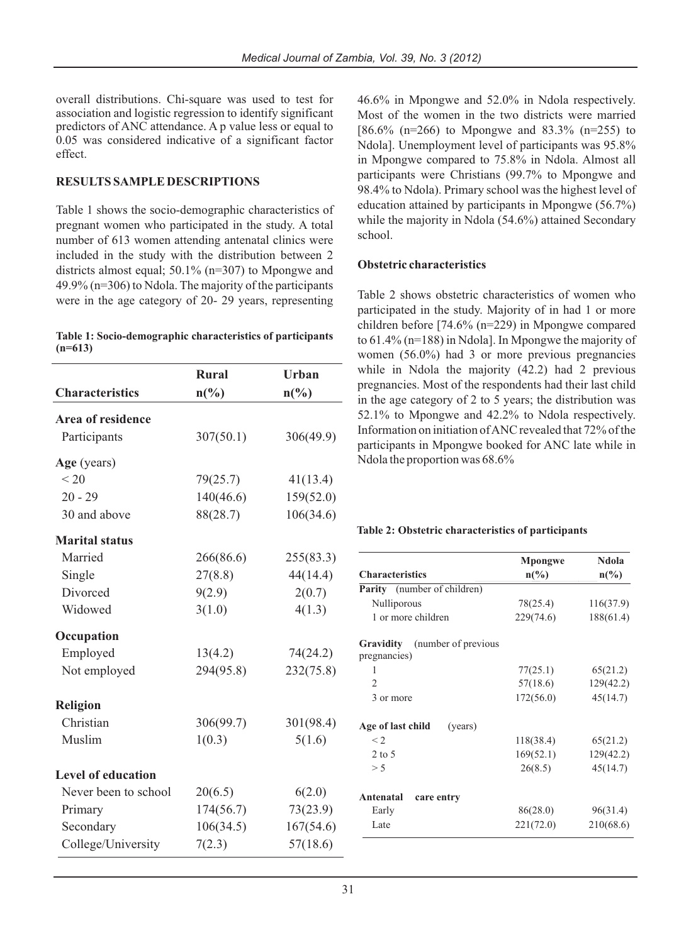overall distributions. Chi-square was used to test for association and logistic regression to identify significant predictors of ANC attendance. A p value less or equal to 0.05 was considered indicative of a significant factor effect.

#### **RESULTS SAMPLE DESCRIPTIONS**

Table 1 shows the socio-demographic characteristics of pregnant women who participated in the study. A total number of 613 women attending antenatal clinics were included in the study with the distribution between 2 districts almost equal; 50.1% (n=307) to Mpongwe and 49.9% (n=306) to Ndola. The majority of the participants were in the age category of 20- 29 years, representing

|           | Table 1: Socio-demographic characteristics of participants |
|-----------|------------------------------------------------------------|
| $(n=613)$ |                                                            |

|                           | <b>Rural</b>   | <b>Urban</b>                |
|---------------------------|----------------|-----------------------------|
| <b>Characteristics</b>    | $n\frac{6}{6}$ | $n\left(\frac{0}{0}\right)$ |
| Area of residence         |                |                             |
| Participants              | 307(50.1)      | 306(49.9)                   |
| Age (years)               |                |                             |
| < 20                      | 79(25.7)       | 41(13.4)                    |
| $20 - 29$                 | 140(46.6)      | 159(52.0)                   |
| 30 and above              | 88(28.7)       | 106(34.6)                   |
| <b>Marital status</b>     |                |                             |
| Married                   | 266(86.6)      | 255(83.3)                   |
| Single                    | 27(8.8)        | 44(14.4)                    |
| Divorced                  | 9(2.9)         | 2(0.7)                      |
| Widowed                   | 3(1.0)         | 4(1.3)                      |
| Occupation                |                |                             |
| Employed                  | 13(4.2)        | 74(24.2)                    |
| Not employed              | 294(95.8)      | 232(75.8)                   |
| <b>Religion</b>           |                |                             |
| Christian                 | 306(99.7)      | 301(98.4)                   |
| Muslim                    | 1(0.3)         | 5(1.6)                      |
| <b>Level of education</b> |                |                             |
| Never been to school      | 20(6.5)        | 6(2.0)                      |
| Primary                   | 174(56.7)      | 73(23.9)                    |
| Secondary                 | 106(34.5)      | 167(54.6)                   |
| College/University        | 7(2.3)         | 57(18.6)                    |

46.6% in Mpongwe and 52.0% in Ndola respectively. Most of the women in the two districts were married  $[86.6\% (n=266)$  to Mpongwe and  $83.3\% (n=255)$  to Ndola]. Unemployment level of participants was 95.8% in Mpongwe compared to 75.8% in Ndola. Almost all participants were Christians (99.7% to Mpongwe and 98.4% to Ndola). Primary school was the highest level of education attained by participants in Mpongwe (56.7%) while the majority in Ndola (54.6%) attained Secondary school.

#### **Obstetric characteristics**

Table 2 shows obstetric characteristics of women who participated in the study. Majority of in had 1 or more children before [74.6% (n=229) in Mpongwe compared to 61.4% (n=188) in Ndola]. In Mpongwe the majority of women (56.0%) had 3 or more previous pregnancies while in Ndola the majority (42.2) had 2 previous pregnancies. Most of the respondents had their last child in the age category of 2 to 5 years; the distribution was 52.1% to Mpongwe and 42.2% to Ndola respectively. Information on initiation of ANC revealed that 72% of the participants in Mpongwe booked for ANC late while in Ndola the proportion was 68.6%

#### **Table 2: Obstetric characteristics of participants**

|                                    | Mpongwe         | Ndola                       |  |
|------------------------------------|-----------------|-----------------------------|--|
| <b>Characteristics</b>             | $n\binom{0}{0}$ | $n\left(\frac{0}{0}\right)$ |  |
| <b>Parity</b> (number of children) |                 |                             |  |
| Nulliporous                        | 78(25.4)        | 116(37.9)                   |  |
| 1 or more children                 | 229(74.6)       | 188(61.4)                   |  |
| (number of previous)<br>Gravidity  |                 |                             |  |
| pregnancies)                       |                 |                             |  |
| 1                                  | 77(25.1)        | 65(21.2)                    |  |
| $\mathfrak{D}$                     | 57(18.6)        | 129(42.2)                   |  |
| 3 or more                          | 172(56.0)       | 45(14.7)                    |  |
| Age of last child<br>(years)       |                 |                             |  |
| $\leq$ 2                           | 118(38.4)       | 65(21.2)                    |  |
| $2$ to 5                           | 169(52.1)       | 129(42.2)                   |  |
| > 5                                | 26(8.5)         | 45(14.7)                    |  |
| Antenatal<br>care entry            |                 |                             |  |
| Early                              | 86(28.0)        | 96(31.4)                    |  |
| Late                               | 221(72.0)       | 210(68.6)                   |  |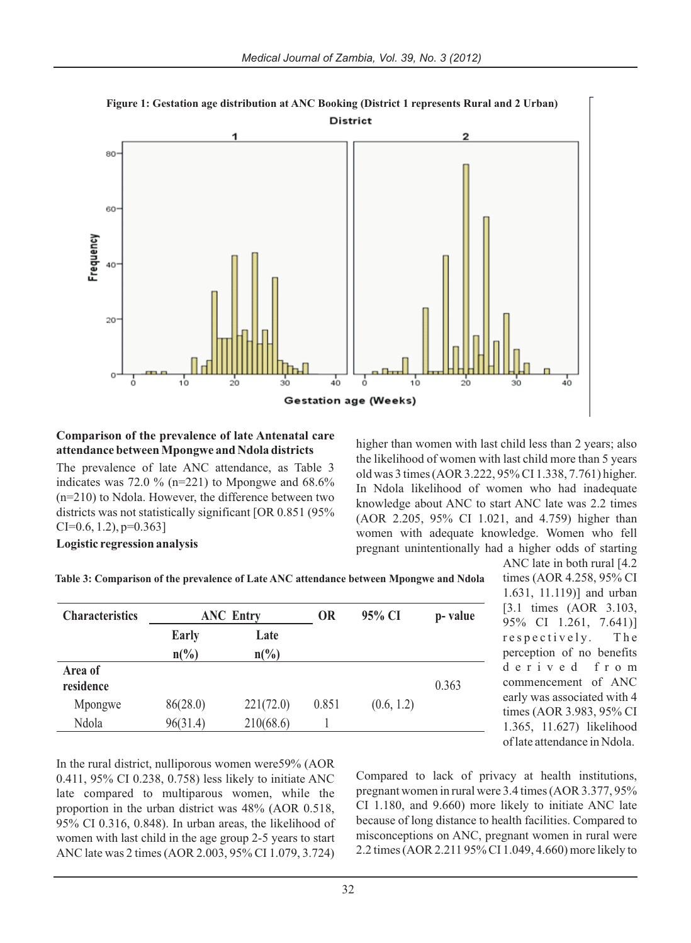

## **Figure 1: Gestation age distribution at ANC Booking (District 1 represents Rural and 2 Urban)**

#### **Comparison of the prevalence of late Antenatal care attendance between Mpongwe and Ndola districts**

The prevalence of late ANC attendance, as Table 3 indicates was 72.0 % (n=221) to Mpongwe and  $68.6\%$ (n=210) to Ndola. However, the difference between two districts was not statistically significant [OR 0.851 (95%  $CI=0.6, 1.2, p=0.363$ 

higher than women with last child less than 2 years; also the likelihood of women with last child more than 5 years old was 3 times (AOR 3.222, 95% CI 1.338, 7.761) higher. In Ndola likelihood of women who had inadequate knowledge about ANC to start ANC late was 2.2 times (AOR 2.205, 95% CI 1.021, and 4.759) higher than women with adequate knowledge. Women who fell pregnant unintentionally had a higher odds of starting

#### **Logistic regression analysis**

**Table 3: Comparison of the prevalence of Late ANC attendance between Mpongwe and Ndola**

| <b>Characteristics</b> | <b>ANC Entry</b>                |                         | 0R    | 95% CI     | p-value |
|------------------------|---------------------------------|-------------------------|-------|------------|---------|
|                        | <b>Early</b><br>$n\binom{0}{0}$ | Late<br>$n\binom{0}{0}$ |       |            |         |
| Area of<br>residence   |                                 |                         |       |            | 0.363   |
| Mpongwe                | 86(28.0)                        | 221(72.0)               | 0.851 | (0.6, 1.2) |         |
| Ndola                  | 96(31.4)                        | 210(68.6)               |       |            |         |

ANC late in both rural [4.2 times (AOR 4.258, 95% CI 1.631, 11.119)] and urban [3.1 times (AOR 3.103, 95% CI 1.261, 7.641)] respectively. The perception of no benefits d e r i v e d f r o m commencement of ANC early was associated with 4 times (AOR 3.983, 95% CI 1.365, 11.627) likelihood of late attendance in Ndola.

In the rural district, nulliporous women were59% (AOR 0.411, 95% CI 0.238, 0.758) less likely to initiate ANC late compared to multiparous women, while the proportion in the urban district was 48% (AOR 0.518, 95% CI 0.316, 0.848). In urban areas, the likelihood of women with last child in the age group 2-5 years to start ANC late was 2 times (AOR 2.003, 95% CI 1.079, 3.724)

Compared to lack of privacy at health institutions, pregnant women in rural were 3.4 times (AOR 3.377, 95% CI 1.180, and 9.660) more likely to initiate ANC late because of long distance to health facilities. Compared to misconceptions on ANC, pregnant women in rural were 2.2 times (AOR 2.211 95% CI 1.049, 4.660) more likely to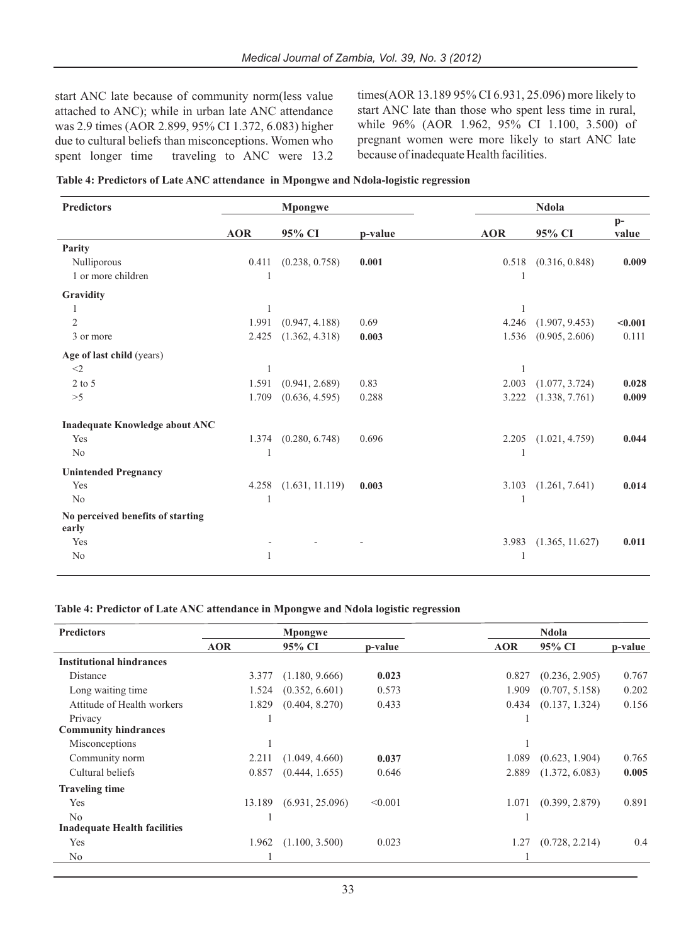start ANC late because of community norm(less value attached to ANC); while in urban late ANC attendance was 2.9 times (AOR 2.899, 95% CI 1.372, 6.083) higher due to cultural beliefs than misconceptions. Women who spent longer time traveling to ANC were 13.2 times(AOR 13.189 95% CI 6.931, 25.096) more likely to start ANC late than those who spent less time in rural, while 96% (AOR 1.962, 95% CI 1.100, 3.500) of pregnant women were more likely to start ANC late because of inadequate Health facilities.

|  | Table 4: Predictors of Late ANC attendance  in Mpongwe and Ndola-logistic regression |
|--|--------------------------------------------------------------------------------------|
|--|--------------------------------------------------------------------------------------|

| <b>Predictors</b>                 | <b>Mpongwe</b> |                 | Ndola   |                |                 |               |
|-----------------------------------|----------------|-----------------|---------|----------------|-----------------|---------------|
|                                   | <b>AOR</b>     | 95% CI          | p-value | <b>AOR</b>     | 95% CI          | $p-$<br>value |
| Parity                            |                |                 |         |                |                 |               |
| Nulliporous                       | 0.411          | (0.238, 0.758)  | 0.001   | 0.518          | (0.316, 0.848)  | 0.009         |
| 1 or more children                | -1             |                 |         | -1             |                 |               |
| Gravidity                         |                |                 |         |                |                 |               |
|                                   | 1              |                 |         | $\mathbf{1}$   |                 |               |
| $\overline{2}$                    | 1.991          | (0.947, 4.188)  | 0.69    | 4.246          | (1.907, 9.453)  | < 0.001       |
| 3 or more                         | 2.425          | (1.362, 4.318)  | 0.003   | 1.536          | (0.905, 2.606)  | 0.111         |
| Age of last child (years)         |                |                 |         |                |                 |               |
| $<$ 2                             | 1              |                 |         |                |                 |               |
| $2$ to $5$                        | 1.591          | (0.941, 2.689)  | 0.83    | 2.003          | (1.077, 3.724)  | 0.028         |
| >5                                | 1.709          | (0.636, 4.595)  | 0.288   | 3.222          | (1.338, 7.761)  | 0.009         |
| Inadequate Knowledge about ANC    |                |                 |         |                |                 |               |
| Yes                               | 1.374          | (0.280, 6.748)  | 0.696   | 2.205          | (1.021, 4.759)  | 0.044         |
| No                                |                |                 |         |                |                 |               |
| <b>Unintended Pregnancy</b>       |                |                 |         |                |                 |               |
| Yes                               | 4.258          | (1.631, 11.119) | 0.003   | 3.103          | (1.261, 7.641)  | 0.014         |
| N <sub>o</sub>                    | $\mathbf{1}$   |                 |         | $\overline{1}$ |                 |               |
| No perceived benefits of starting |                |                 |         |                |                 |               |
| early                             |                |                 |         |                |                 |               |
| Yes                               |                |                 |         | 3.983          | (1.365, 11.627) | 0.011         |
| No                                | 1              |                 |         | -1             |                 |               |
|                                   |                |                 |         |                |                 |               |

#### **Table 4: Predictor of Late ANC attendance in Mpongwe and Ndola logistic regression**

| <b>Predictors</b>                   | Mpongwe    |                 | Ndola   |            |                |         |
|-------------------------------------|------------|-----------------|---------|------------|----------------|---------|
|                                     | <b>AOR</b> | 95% CI          | p-value | <b>AOR</b> | 95% CI         | p-value |
| <b>Institutional hindrances</b>     |            |                 |         |            |                |         |
| Distance                            | 3.377      | (1.180, 9.666)  | 0.023   | 0.827      | (0.236, 2.905) | 0.767   |
| Long waiting time.                  | 1.524      | (0.352, 6.601)  | 0.573   | 1.909      | (0.707, 5.158) | 0.202   |
| Attitude of Health workers          | 1.829      | (0.404, 8.270)  | 0.433   | 0.434      | (0.137, 1.324) | 0.156   |
| Privacy                             |            |                 |         |            |                |         |
| <b>Community hindrances</b>         |            |                 |         |            |                |         |
| Misconceptions                      |            |                 |         |            |                |         |
| Community norm                      | 2.211      | (1.049, 4.660)  | 0.037   | 1.089      | (0.623, 1.904) | 0.765   |
| Cultural beliefs                    | 0.857      | (0.444, 1.655)  | 0.646   | 2.889      | (1.372, 6.083) | 0.005   |
| <b>Traveling time</b>               |            |                 |         |            |                |         |
| Yes                                 | 13.189     | (6.931, 25.096) | < 0.001 | 1.071      | (0.399, 2.879) | 0.891   |
| N <sub>0</sub>                      |            |                 |         |            |                |         |
| <b>Inadequate Health facilities</b> |            |                 |         |            |                |         |
| Yes                                 | 1.962      | (1.100, 3.500)  | 0.023   | 1.27       | (0.728, 2.214) | 0.4     |
| N <sub>0</sub>                      |            |                 |         |            |                |         |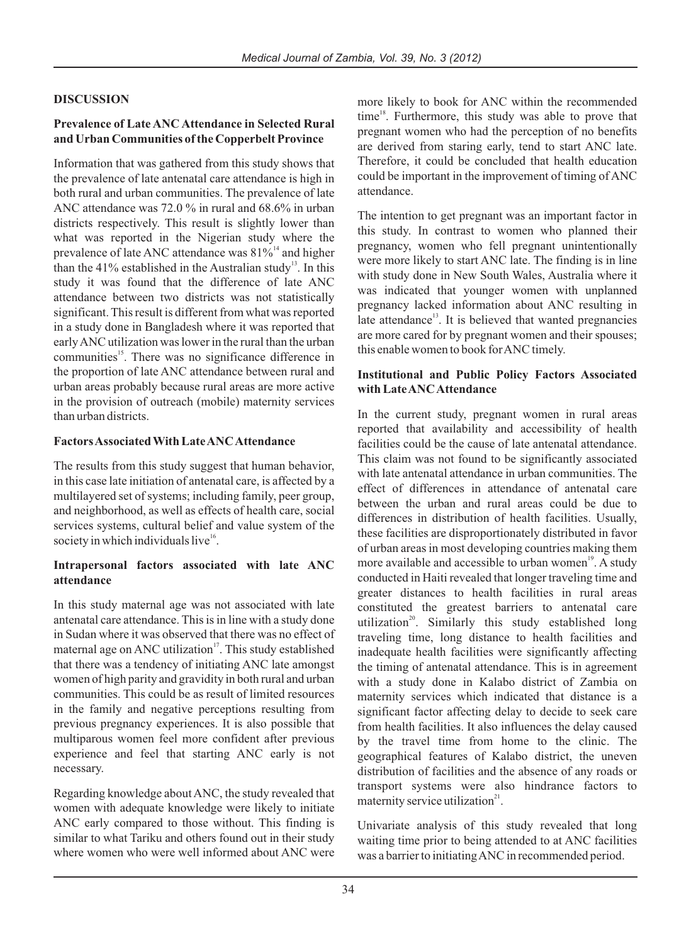## **DISCUSSION**

#### **Prevalence of Late ANC Attendance in Selected Rural and Urban Communities of the Copperbelt Province**

Information that was gathered from this study shows that the prevalence of late antenatal care attendance is high in both rural and urban communities. The prevalence of late ANC attendance was 72.0 % in rural and 68.6% in urban districts respectively. This result is slightly lower than what was reported in the Nigerian study where the prevalence of late ANC attendance was  $81\%$ <sup>14</sup> and higher than the  $41\%$  established in the Australian study<sup>13</sup>. In this study it was found that the difference of late ANC attendance between two districts was not statistically significant. This result is different from what was reported in a study done in Bangladesh where it was reported that early ANC utilization was lower in the rural than the urban communities<sup>15</sup>. There was no significance difference in the proportion of late ANC attendance between rural and urban areas probably because rural areas are more active in the provision of outreach (mobile) maternity services than urban districts.

#### **Factors Associated With Late ANC Attendance**

The results from this study suggest that human behavior, in this case late initiation of antenatal care, is affected by a multilayered set of systems; including family, peer group, and neighborhood, as well as effects of health care, social services systems, cultural belief and value system of the society in which individuals live $16$ .

#### **Intrapersonal factors associated with late ANC attendance**

In this study maternal age was not associated with late antenatal care attendance. This is in line with a study done in Sudan where it was observed that there was no effect of maternal age on ANC utilization<sup>17</sup>. This study established that there was a tendency of initiating ANC late amongst women of high parity and gravidity in both rural and urban communities. This could be as result of limited resources in the family and negative perceptions resulting from previous pregnancy experiences. It is also possible that multiparous women feel more confident after previous experience and feel that starting ANC early is not necessary.

Regarding knowledge about ANC, the study revealed that women with adequate knowledge were likely to initiate ANC early compared to those without. This finding is similar to what Tariku and others found out in their study where women who were well informed about ANC were

more likely to book for ANC within the recommended  $time<sup>18</sup>$ . Furthermore, this study was able to prove that pregnant women who had the perception of no benefits are derived from staring early, tend to start ANC late. Therefore, it could be concluded that health education could be important in the improvement of timing of ANC attendance.

The intention to get pregnant was an important factor in this study. In contrast to women who planned their pregnancy, women who fell pregnant unintentionally were more likely to start ANC late. The finding is in line with study done in New South Wales, Australia where it was indicated that younger women with unplanned pregnancy lacked information about ANC resulting in late attendance<sup>13</sup>. It is believed that wanted pregnancies are more cared for by pregnant women and their spouses; this enable women to book for ANC timely.

#### **Institutional and Public Policy Factors Associated with Late ANC Attendance**

In the current study, pregnant women in rural areas reported that availability and accessibility of health facilities could be the cause of late antenatal attendance. This claim was not found to be significantly associated with late antenatal attendance in urban communities. The effect of differences in attendance of antenatal care between the urban and rural areas could be due to differences in distribution of health facilities. Usually, these facilities are disproportionately distributed in favor of urban areas in most developing countries making them more available and accessible to urban women<sup>19</sup>. A study conducted in Haiti revealed that longer traveling time and greater distances to health facilities in rural areas constituted the greatest barriers to antenatal care utilization<sup>20</sup>. Similarly this study established long traveling time, long distance to health facilities and inadequate health facilities were significantly affecting the timing of antenatal attendance. This is in agreement with a study done in Kalabo district of Zambia on maternity services which indicated that distance is a significant factor affecting delay to decide to seek care from health facilities. It also influences the delay caused by the travel time from home to the clinic. The geographical features of Kalabo district, the uneven distribution of facilities and the absence of any roads or transport systems were also hindrance factors to maternity service utilization $2<sup>1</sup>$ .

Univariate analysis of this study revealed that long waiting time prior to being attended to at ANC facilities was a barrier to initiating ANC in recommended period.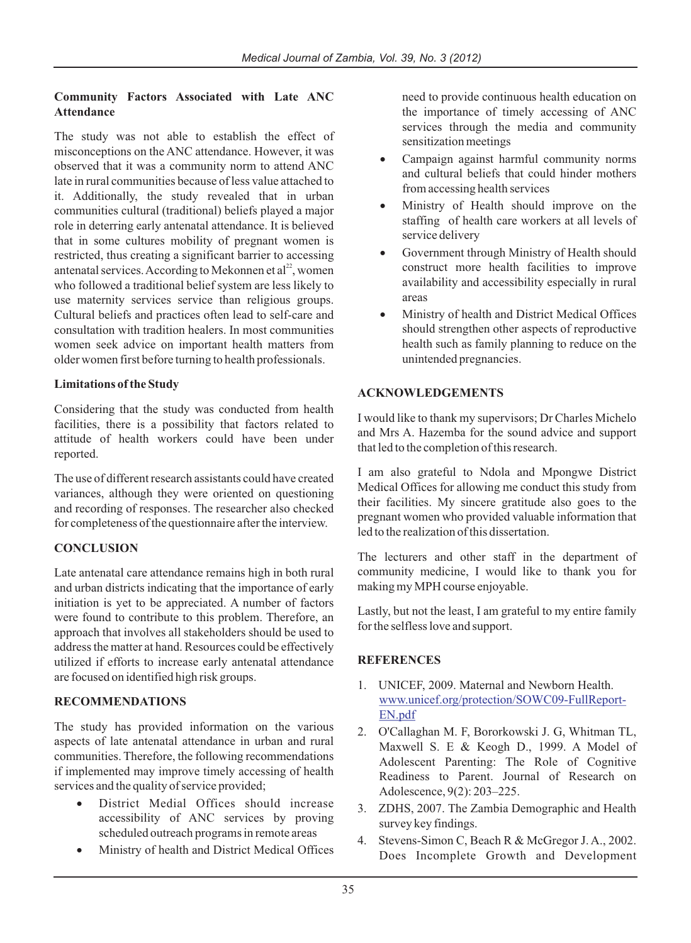### **Community Factors Associated with Late ANC Attendance**

The study was not able to establish the effect of misconceptions on the ANC attendance. However, it was observed that it was a community norm to attend ANC late in rural communities because of less value attached to it. Additionally, the study revealed that in urban communities cultural (traditional) beliefs played a major role in deterring early antenatal attendance. It is believed that in some cultures mobility of pregnant women is restricted, thus creating a significant barrier to accessing antenatal services. According to Mekonnen et  $al^{22}$ , women who followed a traditional belief system are less likely to use maternity services service than religious groups. Cultural beliefs and practices often lead to self-care and consultation with tradition healers. In most communities women seek advice on important health matters from older women first before turning to health professionals.

## **Limitations of the Study**

Considering that the study was conducted from health facilities, there is a possibility that factors related to attitude of health workers could have been under reported.

The use of different research assistants could have created variances, although they were oriented on questioning and recording of responses. The researcher also checked for completeness of the questionnaire after the interview.

## **CONCLUSION**

Late antenatal care attendance remains high in both rural and urban districts indicating that the importance of early initiation is yet to be appreciated. A number of factors were found to contribute to this problem. Therefore, an approach that involves all stakeholders should be used to address the matter at hand. Resources could be effectively utilized if efforts to increase early antenatal attendance are focused on identified high risk groups.

## **RECOMMENDATIONS**

The study has provided information on the various aspects of late antenatal attendance in urban and rural communities. Therefore, the following recommendations if implemented may improve timely accessing of health services and the quality of service provided;

> District Medial Offices should increase accessibility of ANC services by proving scheduled outreach programs in remote areas Ministry of health and District Medical Offices

need to provide continuous health education on the importance of timely accessing of ANC services through the media and community sensitization meetings

Campaign against harmful community norms and cultural beliefs that could hinder mothers from accessing health services

Ministry of Health should improve on the staffing of health care workers at all levels of service delivery

Government through Ministry of Health should construct more health facilities to improve availability and accessibility especially in rural areas

Ministry of health and District Medical Offices should strengthen other aspects of reproductive health such as family planning to reduce on the unintended pregnancies.

## **ACKNOWLEDGEMENTS**

I would like to thank my supervisors; Dr Charles Michelo and Mrs A. Hazemba for the sound advice and support that led to the completion of this research.

I am also grateful to Ndola and Mpongwe District Medical Offices for allowing me conduct this study from their facilities. My sincere gratitude also goes to the pregnant women who provided valuable information that led to the realization of this dissertation.

The lecturers and other staff in the department of community medicine, I would like to thank you for making my MPH course enjoyable.

Lastly, but not the least, I am grateful to my entire family for the selfless love and support.

## **REFERENCES**

- 1. UNICEF, 2009. Maternal and Newborn Health. www.unicef.org/protection/SOWC09-FullReport-EN.pdf
- 2. O'Callaghan M. F, Bororkowski J. G, Whitman TL, Maxwell S. E & Keogh D., 1999. A Model of Adolescent Parenting: The Role of Cognitive Readiness to Parent. Journal of Research on Adolescence, 9(2): 203–225.
- 3. ZDHS, 2007. The Zambia Demographic and Health survey key findings.
- 4. Stevens-Simon C, Beach R & McGregor J. A., 2002. Does Incomplete Growth and Development